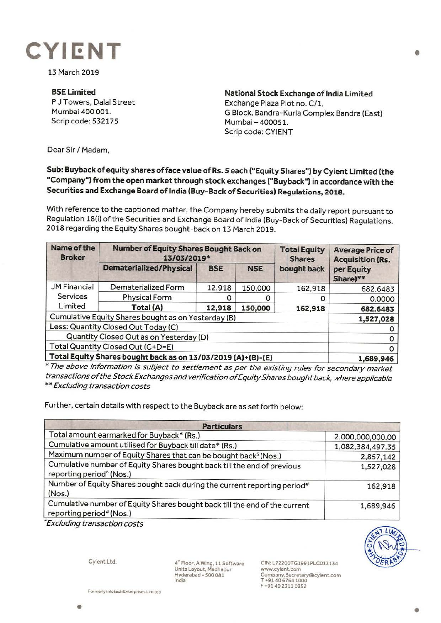

13 March 2019

**BSE Limited**  P J Towers, Dalal Street Mumbai 400 001. Scrip code: 532175

**National Stock Exchange of India Limited**  Exchange Plaza Plot no. C/1, G Block, Bandra-Kurla Complex Bandra (East) Mumbai- 400051. Scrip code: CYIENT

Dear Sir/ Madam,

## **Sub: Buyback of equity shares of face value of Rs. S each ("Equity Shares") by Cyient Limited (the "'Company"") from the open market through stock exchanges ("Buyback") in accordance with the Securities and Exchange Board of India (Buy-Back of Securities) Regulations, 2018.**

With reference to the captioned matter, the Company hereby submits the daily report pursuant to Regulation 18(i) of the Securities and Exchange Board of India (Buy-Back of Securities) Regulations, 2018 regarding the Equity Shares bought-back on 13 March 2019.

| Name of the<br><b>Broker</b>                                 | <b>Number of Equity Shares Bought Back on</b><br>13/03/2019* |            |            | <b>Total Equity</b><br><b>Shares</b> | <b>Average Price of</b><br><b>Acquisition (Rs.</b> |
|--------------------------------------------------------------|--------------------------------------------------------------|------------|------------|--------------------------------------|----------------------------------------------------|
|                                                              | <b>Dematerialized/Physical</b>                               | <b>BSE</b> | <b>NSE</b> | bought back                          | per Equity<br>Share)**                             |
| <b>JM Financial</b>                                          | Dematerialized Form                                          | 12,918     | 150,000    | 162,918                              | 682.6483                                           |
| Services                                                     | <b>Physical Form</b>                                         |            |            | O                                    | 0.0000                                             |
| Limited                                                      | Total (A)                                                    | 12,918     | 150,000    | 162,918                              | 682.6483                                           |
| Cumulative Equity Shares bought as on Yesterday (B)          |                                                              |            |            |                                      | 1,527,028                                          |
| Less: Quantity Closed Out Today (C)                          |                                                              |            |            |                                      |                                                    |
| Quantity Closed Out as on Yesterday (D)                      |                                                              |            |            |                                      |                                                    |
| Total Quantity Closed Out (C+D=E)                            |                                                              |            |            |                                      |                                                    |
| Total Equity Shares bought back as on 13/03/2019 (A)+(B)-(E) |                                                              |            |            |                                      | 1,689,946                                          |

\* The above information is subject to settlement as per the existing rules for secondary market transactions of the Stock Exchanges and verification of Equity Shares bought back, where applicable \*\*Excluding transaction costs

Further, certain details with respect to the Buyback are as set forth below:

| <b>Particulars</b>                                                                                              |                  |  |  |  |
|-----------------------------------------------------------------------------------------------------------------|------------------|--|--|--|
| Total amount earmarked for Buyback* (Rs.)                                                                       | 2,000,000,000.00 |  |  |  |
| Cumulative amount utilised for Buyback till date* (Rs.)                                                         | 1,082,384,497.35 |  |  |  |
| Maximum number of Equity Shares that can be bought back <sup>\$</sup> (Nos.)                                    | 2,857,142        |  |  |  |
| Cumulative number of Equity Shares bought back till the end of previous<br>reporting period <sup>^</sup> (Nos.) | 1,527,028        |  |  |  |
| Number of Equity Shares bought back during the current reporting period#<br>(Nos.)                              | 162,918          |  |  |  |
| Cumulative number of Equity Shares bought back till the end of the current<br>reporting period# (Nos.)          | 1,689,946        |  |  |  |

• Excluding transaction costs





4'"Floor, A Wing, 11 Software Units Layout. Madhapur Hyderabad - 500 081 India

CIN: L72200TG1991PLC013134 www.cyient.com Company.Secretary®cylent.com T +9140 6764 1000 F +9140 2311 0352